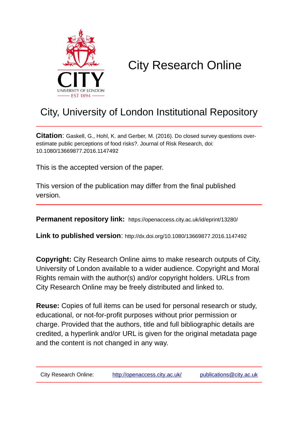

# City Research Online

# City, University of London Institutional Repository

**Citation**: Gaskell, G., Hohl, K. and Gerber, M. (2016). Do closed survey questions overestimate public perceptions of food risks?. Journal of Risk Research, doi: 10.1080/13669877.2016.1147492

This is the accepted version of the paper.

This version of the publication may differ from the final published version.

**Permanent repository link:** https://openaccess.city.ac.uk/id/eprint/13280/

**Link to published version**: http://dx.doi.org/10.1080/13669877.2016.1147492

**Copyright:** City Research Online aims to make research outputs of City, University of London available to a wider audience. Copyright and Moral Rights remain with the author(s) and/or copyright holders. URLs from City Research Online may be freely distributed and linked to.

**Reuse:** Copies of full items can be used for personal research or study, educational, or not-for-profit purposes without prior permission or charge. Provided that the authors, title and full bibliographic details are credited, a hyperlink and/or URL is given for the original metadata page and the content is not changed in any way.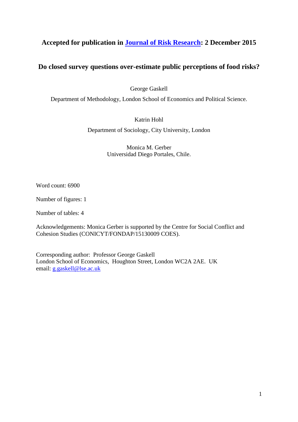# **Accepted for publication in [Journal of Risk Research:](http://www.tandfonline.com/toc/rjrr20/current) 2 December 2015**

## **Do closed survey questions over-estimate public perceptions of food risks?**

George Gaskell

Department of Methodology, London School of Economics and Political Science.

Katrin Hohl

Department of Sociology, City University, London

Monica M. Gerber Universidad Diego Portales, Chile.

Word count: 6900

Number of figures: 1

Number of tables: 4

Acknowledgements: Monica Gerber is supported by the Centre for Social Conflict and Cohesion Studies (CONICYT/FONDAP/15130009 COES).

Corresponding author: Professor George Gaskell London School of Economics, Houghton Street, London WC2A 2AE. UK email: [g.gaskell@lse.ac.uk](mailto:g.gaskell@lse.ac.uk)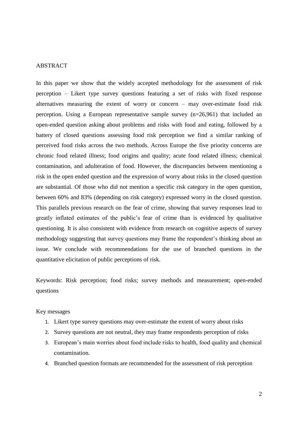## **ABSTRACT**

In this paper we show that the widely accepted methodology for the assessment of risk perception – Likert type survey questions featuring a set of risks with fixed response alternatives measuring the extent of worry or concern – may over-estimate food risk perception. Using a European representative sample survey (n=26,961) that included an open-ended question asking about problems and risks with food and eating, followed by a battery of closed questions assessing food risk perception we find a similar ranking of perceived food risks across the two methods. Across Europe the five priority concerns are chronic food related illness; food origins and quality; acute food related illness; chemical contamination, and adulteration of food. However, the discrepancies between mentioning a risk in the open ended question and the expression of worry about risks in the closed question are substantial. Of those who did not mention a specific risk category in the open question, between 60% and 83% (depending on risk category) expressed worry in the closed question. This parallels previous research on the fear of crime, showing that survey responses lead to greatly inflated estimates of the public's fear of crime than is evidenced by qualitative questioning. It is also consistent with evidence from research on cognitive aspects of survey methodology suggesting that survey questions may frame the respondent's thinking about an issue. We conclude with recommendations for the use of branched questions in the quantitative elicitation of public perceptions of risk.

Keywords: Risk perception; food risks; survey methods and measurement; open-ended questions

Key messages

- 1. Likert type survey questions may over-estimate the extent of worry about risks
- 2. Survey questions are not neutral, they may frame respondents perception of risks
- 3. European's main worries about food include risks to health, food quality and chemical contamination.
- 4. Branched question formats are recommended for the assessment of risk perception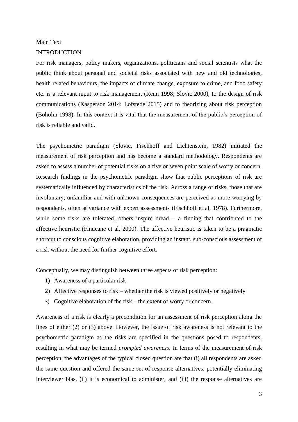## Main Text

## INTRODUCTION

For risk managers, policy makers, organizations, politicians and social scientists what the public think about personal and societal risks associated with new and old technologies, health related behaviours, the impacts of climate change, exposure to crime, and food safety etc. is a relevant input to risk management (Renn 1998; Slovic 2000), to the design of risk communications (Kasperson 2014; Lofstede 2015) and to theorizing about risk perception (Boholm 1998). In this context it is vital that the measurement of the public's perception of risk is reliable and valid.

The psychometric paradigm (Slovic, Fischhoff and Lichtenstein, 1982) initiated the measurement of risk perception and has become a standard methodology. Respondents are asked to assess a number of potential risks on a five or seven point scale of worry or concern. Research findings in the psychometric paradigm show that public perceptions of risk are systematically influenced by characteristics of the risk. Across a range of risks, those that are involuntary, unfamiliar and with unknown consequences are perceived as more worrying by respondents, often at variance with expert assessments (Fischhoff et al, 1978). Furthermore, while some risks are tolerated, others inspire dread – a finding that contributed to the affective heuristic (Finucane et al. 2000). The affective heuristic is taken to be a pragmatic shortcut to conscious cognitive elaboration, providing an instant, sub-conscious assessment of a risk without the need for further cognitive effort.

Conceptually, we may distinguish between three aspects of risk perception:

- 1) Awareness of a particular risk
- 2) Affective responses to risk whether the risk is viewed positively or negatively
- 3) Cognitive elaboration of the risk the extent of worry or concern.

Awareness of a risk is clearly a precondition for an assessment of risk perception along the lines of either (2) or (3) above. However, the issue of risk awareness is not relevant to the psychometric paradigm as the risks are specified in the questions posed to respondents, resulting in what may be termed *prompted awareness*. In terms of the measurement of risk perception, the advantages of the typical closed question are that (i) all respondents are asked the same question and offered the same set of response alternatives, potentially eliminating interviewer bias, (ii) it is economical to administer, and (iii) the response alternatives are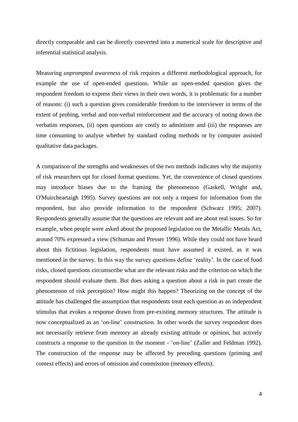directly comparable and can be directly converted into a numerical scale for descriptive and inferential statistical analysis.

Measuring *unprompted awareness* of risk requires a different methodological approach, for example the use of open-ended questions. While an open-ended question gives the respondent freedom to express their views in their own words, it is problematic for a number of reasons: (i) such a question gives considerable freedom to the interviewer in terms of the extent of probing, verbal and non-verbal reinforcement and the accuracy of noting down the verbatim responses, (ii) open questions are costly to administer and (iii) the responses are time consuming to analyse whether by standard coding methods or by computer assisted qualitative data packages.

A comparison of the strengths and weaknesses of the two methods indicates why the majority of risk researchers opt for closed format questions. Yet, the convenience of closed questions may introduce biases due to the framing the phenomenon (Gaskell, Wright and, O'Muircheartaigh 1995). Survey questions are not only a request for information from the respondent, but also provide information to the respondent (Schwarz 1995; 2007). Respondents generally assume that the questions are relevant and are about real issues. So for example, when people were asked about the proposed legislation on the Metallic Metals Act, around 70% expressed a view (Schuman and Presser 1996). While they could not have heard about this fictitious legislation, respondents must have assumed it existed, as it was mentioned in the survey. In this way the survey questions define 'reality'. In the case of food risks, closed questions circumscribe what are the relevant risks and the criterion on which the respondent should evaluate them. But does asking a question about a risk in part create the phenomenon of risk perception? How might this happen? Theorizing on the concept of the attitude has challenged the assumption that respondents treat each question as an independent stimulus that evokes a response drawn from pre-existing memory structures. The attitude is now conceptualized as an 'on-line' construction. In other words the survey respondent does not necessarily retrieve from memory an already existing attitude or opinion, but actively constructs a response to the question in the moment - 'on-line' (Zaller and Feldman 1992). The construction of the response may be affected by preceding questions (priming and context effects) and errors of omission and commission (memory effects).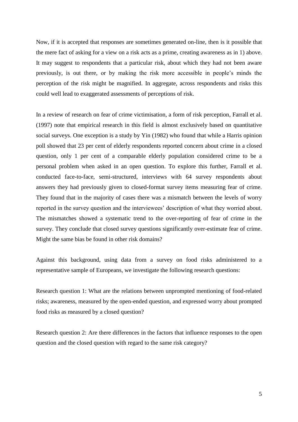Now, if it is accepted that responses are sometimes generated on-line, then is it possible that the mere fact of asking for a view on a risk acts as a prime, creating awareness as in 1) above. It may suggest to respondents that a particular risk, about which they had not been aware previously, is out there, or by making the risk more accessible in people's minds the perception of the risk might be magnified. In aggregate, across respondents and risks this could well lead to exaggerated assessments of perceptions of risk.

In a review of research on fear of crime victimisation, a form of risk perception, Farrall et al. (1997) note that empirical research in this field is almost exclusively based on quantitative social surveys. One exception is a study by Yin (1982) who found that while a Harris opinion poll showed that 23 per cent of elderly respondents reported concern about crime in a closed question, only 1 per cent of a comparable elderly population considered crime to be a personal problem when asked in an open question. To explore this further, Farrall et al. conducted face-to-face, semi-structured, interviews with 64 survey respondents about answers they had previously given to closed-format survey items measuring fear of crime. They found that in the majority of cases there was a mismatch between the levels of worry reported in the survey question and the interviewees' description of what they worried about. The mismatches showed a systematic trend to the over-reporting of fear of crime in the survey. They conclude that closed survey questions significantly over-estimate fear of crime. Might the same bias be found in other risk domains?

Against this background, using data from a survey on food risks administered to a representative sample of Europeans, we investigate the following research questions:

Research question 1: What are the relations between unprompted mentioning of food-related risks; awareness, measured by the open-ended question, and expressed worry about prompted food risks as measured by a closed question?

Research question 2: Are there differences in the factors that influence responses to the open question and the closed question with regard to the same risk category?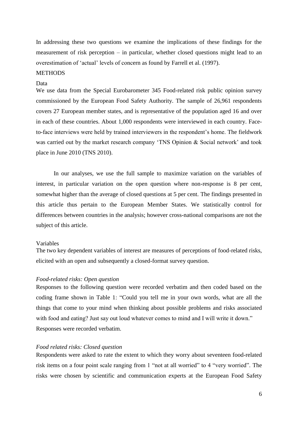In addressing these two questions we examine the implications of these findings for the measurement of risk perception – in particular, whether closed questions might lead to an overestimation of 'actual' levels of concern as found by Farrell et al. (1997).

## **METHODS**

#### Data

We use data from the Special Eurobarometer 345 Food-related risk public opinion survey commissioned by the European Food Safety Authority. The sample of 26,961 respondents covers 27 European member states, and is representative of the population aged 16 and over in each of these countries. About 1,000 respondents were interviewed in each country. Faceto-face interviews were held by trained interviewers in the respondent's home. The fieldwork was carried out by the market research company 'TNS Opinion & Social network' and took place in June 2010 (TNS 2010).

In our analyses, we use the full sample to maximize variation on the variables of interest, in particular variation on the open question where non-response is 8 per cent, somewhat higher than the average of closed questions at 5 per cent. The findings presented in this article thus pertain to the European Member States. We statistically control for differences between countries in the analysis; however cross-national comparisons are not the subject of this article.

#### Variables

The two key dependent variables of interest are measures of perceptions of food-related risks, elicited with an open and subsequently a closed-format survey question.

## *Food-related risks: Open question*

Responses to the following question were recorded verbatim and then coded based on the coding frame shown in Table 1: "Could you tell me in your own words, what are all the things that come to your mind when thinking about possible problems and risks associated with food and eating? Just say out loud whatever comes to mind and I will write it down." Responses were recorded verbatim.

#### *Food related risks: Closed question*

Respondents were asked to rate the extent to which they worry about seventeen food-related risk items on a four point scale ranging from 1 "not at all worried" to 4 "very worried". The risks were chosen by scientific and communication experts at the European Food Safety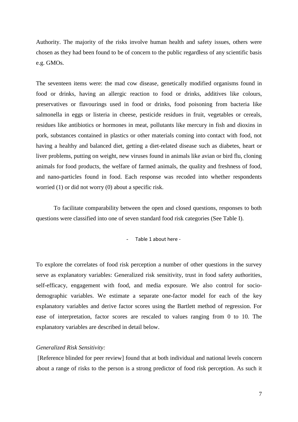Authority. The majority of the risks involve human health and safety issues, others were chosen as they had been found to be of concern to the public regardless of any scientific basis e.g. GMOs.

The seventeen items were: the mad cow disease, genetically modified organisms found in food or drinks, having an allergic reaction to food or drinks, additives like colours, preservatives or flavourings used in food or drinks, food poisoning from bacteria like salmonella in eggs or listeria in cheese, pesticide residues in fruit, vegetables or cereals, residues like antibiotics or hormones in meat, pollutants like mercury in fish and dioxins in pork, substances contained in plastics or other materials coming into contact with food, not having a healthy and balanced diet, getting a diet-related disease such as diabetes, heart or liver problems, putting on weight, new viruses found in animals like avian or bird flu, cloning animals for food products, the welfare of farmed animals, the quality and freshness of food, and nano-particles found in food. Each response was recoded into whether respondents worried (1) or did not worry (0) about a specific risk.

To facilitate comparability between the open and closed questions, responses to both questions were classified into one of seven standard food risk categories (See Table I).

- Table 1 about here -

To explore the correlates of food risk perception a number of other questions in the survey serve as explanatory variables: Generalized risk sensitivity, trust in food safety authorities, self-efficacy, engagement with food, and media exposure. We also control for sociodemographic variables. We estimate a separate one-factor model for each of the key explanatory variables and derive factor scores using the Bartlett method of regression. For ease of interpretation, factor scores are rescaled to values ranging from 0 to 10. The explanatory variables are described in detail below.

## *Generalized Risk Sensitivity:*

[Reference blinded for peer review] found that at both individual and national levels concern about a range of risks to the person is a strong predictor of food risk perception. As such it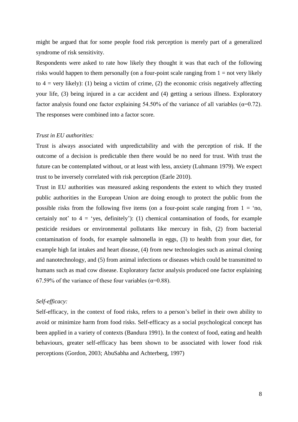might be argued that for some people food risk perception is merely part of a generalized syndrome of risk sensitivity.

Respondents were asked to rate how likely they thought it was that each of the following risks would happen to them personally (on a four-point scale ranging from  $1 = not$  very likely to  $4 = \text{very likely}: (1)$  being a victim of crime, (2) the economic crisis negatively affecting your life, (3) being injured in a car accident and (4) getting a serious illness. Exploratory factor analysis found one factor explaining 54.50% of the variance of all variables ( $\alpha$ =0.72). The responses were combined into a factor score.

## *Trust in EU authorities:*

Trust is always associated with unpredictability and with the perception of risk. If the outcome of a decision is predictable then there would be no need for trust. With trust the future can be contemplated without, or at least with less, anxiety (Luhmann 1979). We expect trust to be inversely correlated with risk perception (Earle 2010).

Trust in EU authorities was measured asking respondents the extent to which they trusted public authorities in the European Union are doing enough to protect the public from the possible risks from the following five items (on a four-point scale ranging from  $1 = \text{no}$ , certainly not' to  $4 = 'yes$ , definitely'): (1) chemical contamination of foods, for example pesticide residues or environmental pollutants like mercury in fish, (2) from bacterial contamination of foods, for example salmonella in eggs, (3) to health from your diet, for example high fat intakes and heart disease, (4) from new technologies such as animal cloning and nanotechnology, and (5) from animal infections or diseases which could be transmitted to humans such as mad cow disease. Exploratory factor analysis produced one factor explaining 67.59% of the variance of these four variables ( $\alpha$ =0.88).

## *Self-efficacy:*

Self-efficacy, in the context of food risks, refers to a person's belief in their own ability to avoid or minimize harm from food risks. Self-efficacy as a social psychological concept has been applied in a variety of contexts (Bandura 1991). In the context of food, eating and health behaviours, greater self-efficacy has been shown to be associated with lower food risk perceptions (Gordon, 2003; AbuSabha and Achterberg, 1997)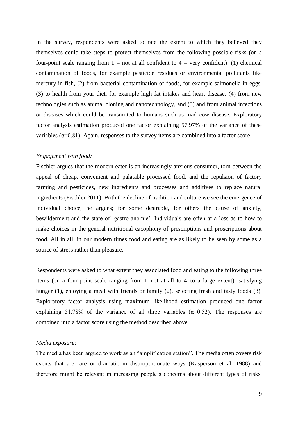In the survey, respondents were asked to rate the extent to which they believed they themselves could take steps to protect themselves from the following possible risks (on a four-point scale ranging from  $1 = not$  at all confident to  $4 = very$  confident): (1) chemical contamination of foods, for example pesticide residues or environmental pollutants like mercury in fish, (2) from bacterial contamination of foods, for example salmonella in eggs, (3) to health from your diet, for example high fat intakes and heart disease, (4) from new technologies such as animal cloning and nanotechnology, and (5) and from animal infections or diseases which could be transmitted to humans such as mad cow disease. Exploratory factor analysis estimation produced one factor explaining 57.97% of the variance of these variables ( $\alpha$ =0.81). Again, responses to the survey items are combined into a factor score.

## *Engagement with food:*

Fischler argues that the modern eater is an increasingly anxious consumer, torn between the appeal of cheap, convenient and palatable processed food, and the repulsion of factory farming and pesticides, new ingredients and processes and additives to replace natural ingredients (Fischler 2011). With the decline of tradition and culture we see the emergence of individual choice, he argues; for some desirable, for others the cause of anxiety, bewilderment and the state of 'gastro-anomie'. Individuals are often at a loss as to how to make choices in the general nutritional cacophony of prescriptions and proscriptions about food. All in all, in our modern times food and eating are as likely to be seen by some as a source of stress rather than pleasure.

Respondents were asked to what extent they associated food and eating to the following three items (on a four-point scale ranging from 1=not at all to 4=to a large extent): satisfying hunger (1), enjoying a meal with friends or family (2), selecting fresh and tasty foods (3). Exploratory factor analysis using maximum likelihood estimation produced one factor explaining 51.78% of the variance of all three variables ( $\alpha$ =0.52). The responses are combined into a factor score using the method described above.

## *Media exposure:*

The media has been argued to work as an "amplification station". The media often covers risk events that are rare or dramatic in disproportionate ways (Kasperson et al. 1988) and therefore might be relevant in increasing people's concerns about different types of risks.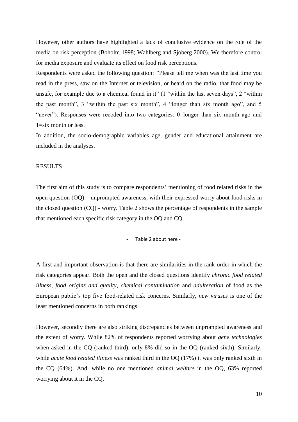However, other authors have highlighted a lack of conclusive evidence on the role of the media on risk perception (Boholm 1998; Wahlberg and Sjoberg 2000). We therefore control for media exposure and evaluate its effect on food risk perceptions.

Respondents were asked the following question: *"*Please tell me when was the last time you read in the press, saw on the Internet or television, or heard on the radio, that food may be unsafe, for example due to a chemical found in it" (1 "within the last seven days", 2 "within the past month", 3 "within the past six month", 4 "longer than six month ago", and 5 "never"). Responses were recoded into two categories: 0=longer than six month ago and 1=six month or less.

In addition, the socio-demographic variables age, gender and educational attainment are included in the analyses.

## RESULTS

The first aim of this study is to compare respondents' mentioning of food related risks in the open question (OQ) – unprompted awareness, with their expressed worry about food risks in the closed question (CQ) - worry. Table 2 shows the percentage of respondents in the sample that mentioned each specific risk category in the OQ and CQ.

## - Table 2 about here -

A first and important observation is that there are similarities in the rank order in which the risk categories appear. Both the open and the closed questions identify *chronic food related illness*, *food origins and quality*, *chemical contamination* and *adulteration* of food as the European public's top five food-related risk concerns. Similarly, *new viruses* is one of the least mentioned concerns in both rankings.

However, secondly there are also striking discrepancies between unprompted awareness and the extent of worry. While 82% of respondents reported worrying about *gene technologies* when asked in the CQ (ranked third), only 8% did so in the OQ (ranked sixth). Similarly, while *acute food related illness* was ranked third in the OQ (17%) it was only ranked sixth in the CQ (64%). And, while no one mentioned *animal welfare* in the OQ, 63% reported worrying about it in the CQ.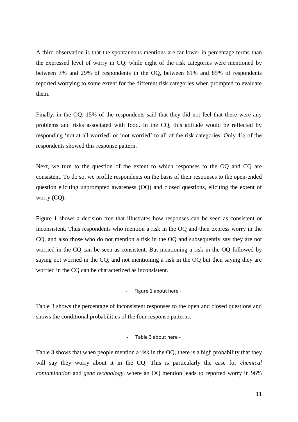A third observation is that the spontaneous mentions are far lower in percentage terms than the expressed level of worry in CQ: while eight of the risk categories were mentioned by between 3% and 29% of respondents in the OQ, between 61% and 85% of respondents reported worrying to some extent for the different risk categories when prompted to evaluate them.

Finally, in the OQ, 15% of the respondents said that they did not feel that there were any problems and risks associated with food. In the CQ, this attitude would be reflected by responding 'not at all worried' or 'not worried' to all of the risk categories. Only 4% of the respondents showed this response pattern.

Next, we turn to the question of the extent to which responses to the OQ and CQ are consistent. To do so, we profile respondents on the basis of their responses to the open-ended question eliciting unprompted awareness (OQ) and closed questions, eliciting the extent of worry (CQ).

Figure 1 shows a decision tree that illustrates how responses can be seen as consistent or inconsistent. Thus respondents who mention a risk in the OQ and then express worry in the CQ, and also those who do not mention a risk in the OQ and subsequently say they are not worried in the CQ can be seen as consistent. But mentioning a risk in the OQ followed by saying not worried in the CQ, and not mentioning a risk in the OQ but then saying they are worried in the CQ can be characterized as inconsistent.

#### - Figure 1 about here -

Table 3 shows the percentage of inconsistent responses to the open and closed questions and shows the conditional probabilities of the four response patterns.

## - Table 3 about here -

Table 3 shows that when people mention a risk in the OQ, there is a high probability that they will say they worry about it in the CQ. This is particularly the case for *chemical contamination* and *gene technology*, where an OQ mention leads to reported worry in 96%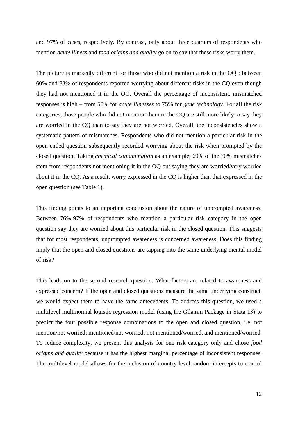and 97% of cases, respectively. By contrast, only about three quarters of respondents who mention *acute illness* and *food origins and quality* go on to say that these risks worry them.

The picture is markedly different for those who did not mention a risk in the OQ : between 60% and 83% of respondents reported worrying about different risks in the CQ even though they had not mentioned it in the OQ. Overall the percentage of inconsistent, mismatched responses is high – from 55% for *acute illnesses* to 75% for *gene technology*. For all the risk categories, those people who did not mention them in the OQ are still more likely to say they are worried in the CQ than to say they are not worried. Overall, the inconsistencies show a systematic pattern of mismatches. Respondents who did not mention a particular risk in the open ended question subsequently recorded worrying about the risk when prompted by the closed question. Taking *chemical contamination* as an example, 69% of the 70% mismatches stem from respondents not mentioning it in the OQ but saying they are worried/very worried about it in the CQ. As a result, worry expressed in the CQ is higher than that expressed in the open question (see Table 1).

This finding points to an important conclusion about the nature of unprompted awareness. Between 76%-97% of respondents who mention a particular risk category in the open question say they are worried about this particular risk in the closed question. This suggests that for most respondents, unprompted awareness is concerned awareness. Does this finding imply that the open and closed questions are tapping into the same underlying mental model of risk?

This leads on to the second research question: What factors are related to awareness and expressed concern? If the open and closed questions measure the same underlying construct, we would expect them to have the same antecedents. To address this question, we used a multilevel multinomial logistic regression model (using the Gllamm Package in Stata 13) to predict the four possible response combinations to the open and closed question, i.e. not mention/not worried; mentioned/not worried; not mentioned/worried, and mentioned/worried. To reduce complexity, we present this analysis for one risk category only and chose *food origins and quality* because it has the highest marginal percentage of inconsistent responses. The multilevel model allows for the inclusion of country-level random intercepts to control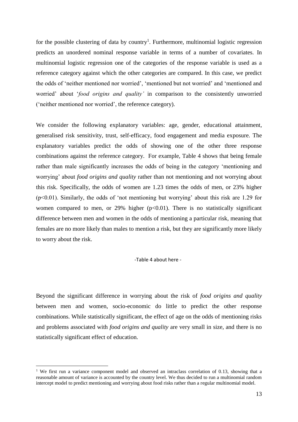for the possible clustering of data by country<sup>1</sup>. Furthermore, multinomial logistic regression predicts an unordered nominal response variable in terms of a number of covariates. In multinomial logistic regression one of the categories of the response variable is used as a reference category against which the other categories are compared. In this case, we predict the odds of 'neither mentioned nor worried', 'mentioned but not worried' and 'mentioned and worried' about '*food origins and quality'* in comparison to the consistently unworried ('neither mentioned nor worried', the reference category).

We consider the following explanatory variables: age, gender, educational attainment, generalised risk sensitivity, trust, self-efficacy, food engagement and media exposure. The explanatory variables predict the odds of showing one of the other three response combinations against the reference category. For example, Table 4 shows that being female rather than male significantly increases the odds of being in the category 'mentioning and worrying' about *food origins and quality* rather than not mentioning and not worrying about this risk. Specifically, the odds of women are 1.23 times the odds of men, or 23% higher (p<0.01). Similarly, the odds of 'not mentioning but worrying' about this risk are 1.29 for women compared to men, or 29% higher  $(p<0.01)$ . There is no statistically significant difference between men and women in the odds of mentioning a particular risk, meaning that females are no more likely than males to mention a risk, but they are significantly more likely to worry about the risk.

#### -Table 4 about here -

Beyond the significant difference in worrying about the risk of *food origins and quality* between men and women, socio-economic do little to predict the other response combinations. While statistically significant, the effect of age on the odds of mentioning risks and problems associated with *food origins and quality* are very small in size, and there is no statistically significant effect of education.

1

<sup>&</sup>lt;sup>1</sup> We first run a variance component model and observed an intraclass correlation of 0.13, showing that a reasonable amount of variance is accounted by the country level. We thus decided to run a multinomial random intercept model to predict mentioning and worrying about food risks rather than a regular multinomial model.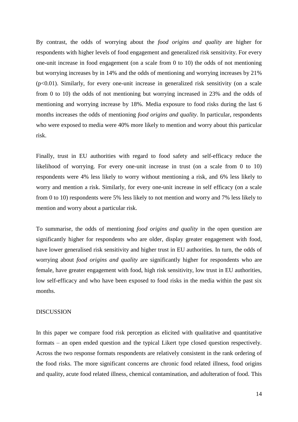By contrast, the odds of worrying about the *food origins and quality* are higher for respondents with higher levels of food engagement and generalized risk sensitivity. For every one-unit increase in food engagement (on a scale from 0 to 10) the odds of not mentioning but worrying increases by in 14% and the odds of mentioning and worrying increases by 21%  $(p<0.01)$ . Similarly, for every one-unit increase in generalized risk sensitivity (on a scale from 0 to 10) the odds of not mentioning but worrying increased in 23% and the odds of mentioning and worrying increase by 18%. Media exposure to food risks during the last 6 months increases the odds of mentioning *food origins and quality*. In particular, respondents who were exposed to media were 40% more likely to mention and worry about this particular risk.

Finally, trust in EU authorities with regard to food safety and self-efficacy reduce the likelihood of worrying. For every one-unit increase in trust (on a scale from 0 to 10) respondents were 4% less likely to worry without mentioning a risk, and 6% less likely to worry and mention a risk. Similarly, for every one-unit increase in self efficacy (on a scale from 0 to 10) respondents were 5% less likely to not mention and worry and 7% less likely to mention and worry about a particular risk.

To summarise, the odds of mentioning *food origins and quality* in the open question are significantly higher for respondents who are older, display greater engagement with food, have lower generalised risk sensitivity and higher trust in EU authorities. In turn, the odds of worrying about *food origins and quality* are significantly higher for respondents who are female, have greater engagement with food, high risk sensitivity, low trust in EU authorities, low self-efficacy and who have been exposed to food risks in the media within the past six months.

## DISCUSSION

In this paper we compare food risk perception as elicited with qualitative and quantitative formats – an open ended question and the typical Likert type closed question respectively. Across the two response formats respondents are relatively consistent in the rank ordering of the food risks. The more significant concerns are chronic food related illness, food origins and quality, acute food related illness, chemical contamination, and adulteration of food. This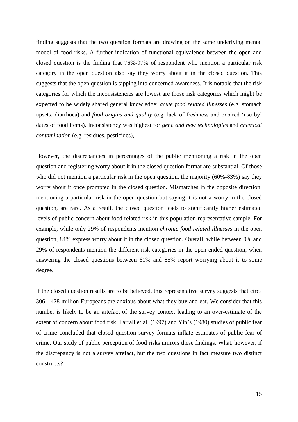finding suggests that the two question formats are drawing on the same underlying mental model of food risks. A further indication of functional equivalence between the open and closed question is the finding that 76%-97% of respondent who mention a particular risk category in the open question also say they worry about it in the closed question. This suggests that the open question is tapping into concerned awareness. It is notable that the risk categories for which the inconsistencies are lowest are those risk categories which might be expected to be widely shared general knowledge: *acute food related illnesses* (e.g. stomach upsets, diarrhoea) and *food origins and quality* (e.g. lack of freshness and expired 'use by' dates of food items). Inconsistency was highest for *gene and new technologies* and *chemical contamination* (e.g. residues, pesticides),

However, the discrepancies in percentages of the public mentioning a risk in the open question and registering worry about it in the closed question format are substantial. Of those who did not mention a particular risk in the open question, the majority (60%-83%) say they worry about it once prompted in the closed question. Mismatches in the opposite direction, mentioning a particular risk in the open question but saying it is not a worry in the closed question, are rare. As a result, the closed question leads to significantly higher estimated levels of public concern about food related risk in this population-representative sample. For example, while only 29% of respondents mention *chronic food related illnesses* in the open question, 84% express worry about it in the closed question. Overall, while between 0% and 29% of respondents mention the different risk categories in the open ended question, when answering the closed questions between 61% and 85% report worrying about it to some degree.

If the closed question results are to be believed, this representative survey suggests that circa 306 - 428 million Europeans are anxious about what they buy and eat. We consider that this number is likely to be an artefact of the survey context leading to an over-estimate of the extent of concern about food risk. Farrall et al. (1997) and Yin's (1980) studies of public fear of crime concluded that closed question survey formats inflate estimates of public fear of crime. Our study of public perception of food risks mirrors these findings. What, however, if the discrepancy is not a survey artefact, but the two questions in fact measure two distinct constructs?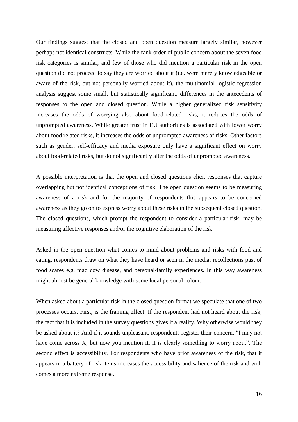Our findings suggest that the closed and open question measure largely similar, however perhaps not identical constructs. While the rank order of public concern about the seven food risk categories is similar, and few of those who did mention a particular risk in the open question did not proceed to say they are worried about it (i.e. were merely knowledgeable or aware of the risk, but not personally worried about it), the multinomial logistic regression analysis suggest some small, but statistically significant, differences in the antecedents of responses to the open and closed question. While a higher generalized risk sensitivity increases the odds of worrying also about food-related risks, it reduces the odds of unprompted awareness. While greater trust in EU authorities is associated with lower worry about food related risks, it increases the odds of unprompted awareness of risks. Other factors such as gender, self-efficacy and media exposure only have a significant effect on worry about food-related risks, but do not significantly alter the odds of unprompted awareness.

A possible interpretation is that the open and closed questions elicit responses that capture overlapping but not identical conceptions of risk. The open question seems to be measuring awareness of a risk and for the majority of respondents this appears to be concerned awareness as they go on to express worry about these risks in the subsequent closed question. The closed questions, which prompt the respondent to consider a particular risk, may be measuring affective responses and/or the cognitive elaboration of the risk.

Asked in the open question what comes to mind about problems and risks with food and eating, respondents draw on what they have heard or seen in the media; recollections past of food scares e.g. mad cow disease, and personal/family experiences. In this way awareness might almost be general knowledge with some local personal colour.

When asked about a particular risk in the closed question format we speculate that one of two processes occurs. First, is the framing effect. If the respondent had not heard about the risk, the fact that it is included in the survey questions gives it a reality. Why otherwise would they be asked about it? And if it sounds unpleasant, respondents register their concern. "I may not have come across X, but now you mention it, it is clearly something to worry about". The second effect is accessibility. For respondents who have prior awareness of the risk, that it appears in a battery of risk items increases the accessibility and salience of the risk and with comes a more extreme response.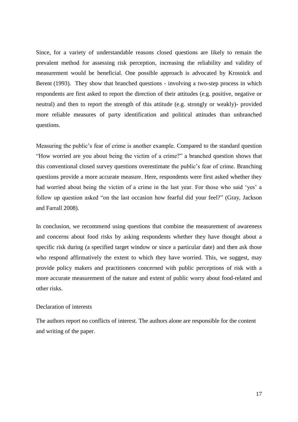Since, for a variety of understandable reasons closed questions are likely to remain the prevalent method for assessing risk perception, increasing the reliability and validity of measurement would be beneficial. One possible approach is advocated by Krosnick and Berent (1993). They show that branched questions - involving a two-step process in which respondents are first asked to report the direction of their attitudes (e.g. positive, negative or neutral) and then to report the strength of this attitude (e.g. strongly or weakly)- provided more reliable measures of party identification and political attitudes than unbranched questions.

Measuring the public's fear of crime is another example. Compared to the standard question "How worried are you about being the victim of a crime?" a branched question shows that this conventional closed survey questions overestimate the public's fear of crime. Branching questions provide a more accurate measure. Here, respondents were first asked whether they had worried about being the victim of a crime in the last year. For those who said 'yes' a follow up question asked "on the last occasion how fearful did your feel?" (Gray, Jackson and Farrall 2008).

In conclusion, we recommend using questions that combine the measurement of awareness and concerns about food risks by asking respondents whether they have thought about a specific risk during (a specified target window or since a particular date) and then ask those who respond affirmatively the extent to which they have worried. This, we suggest, may provide policy makers and practitioners concerned with public perceptions of risk with a more accurate measurement of the nature and extent of public worry about food-related and other risks.

## Declaration of interests

The authors report no conflicts of interest. The authors alone are responsible for the content and writing of the paper.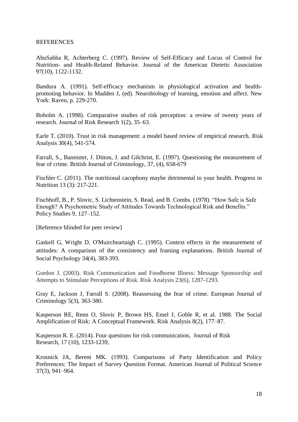## **REFERENCES**

AbuSabha R, Achterberg C. (1997). Review of Self-Efficacy and Locus of Control for Nutrition- and Health-Related Behavior. Journal of the American Dietetic Association 97(10), 1122-1132.

Bandura A. (1991). Self-efficacy mechanism in physiological activation and healthpromoting behavior. In Madden J, (ed). Neurobiology of learning, emotion and affect. New York: Raven, p. 229-270.

Boholm A. (1998). Comparative studies of risk perception: a review of twenty years of research. Journal of Risk Research 1(2), 35–63.

Earle T. (2010). Trust in risk management: a model based review of empirical research. Risk Analysis 30(4), 541-574.

Farrall, S., Bannister, J. Ditton, J. and Gilchrist, E. (1997). Questioning the measurement of fear of crime. British Journal of Criminology, 37, (4), 658-679

Fischler C. (2011). The nutritional cacophony maybe detrimental to your health. Progress in Nutrition 13 (3): 217-221.

Fischhoff, B., P. Slovic, S. Lichtenstein, S. Read, and B. Combs. (1978). "How Safe is Safe Enough? A Psychometric Study of Attitudes Towards Technological Risk and Benefits." Policy Studies 9, 127–152.

[Reference blinded for peer review]

Gaskell G, Wright D, O'Muircheartaigh C. (1995). Context effects in the measurement of attitudes: A comparison of the consistency and framing explanations. British Journal of Social Psychology 34(4), 383-393.

Gordon J. (2003). Risk Communication and Foodborne Illness: Message Sponsorship and Attempts to Stimulate Perceptions of Risk. Risk Analysis 23(6), 1287-1293.

Gray E, Jackson J, Farrall S. (2008). Reassessing the fear of crime. European Journal of Criminology 5(3), 363-380.

Kasperson RE, Renn O, Slovic P, Brown HS, Emel J, Goble R, et al. 1988. The Social Amplification of Risk: A Conceptual Framework. Risk Analysis 8(2), 177–87.

Kasperson R. E. (2014). Four questions for risk communication, Journal of Risk Research, 17 (10), 1233-1239,

Krosnick JA, Berent MK. (1993). Comparisons of Party Identification and Policy Preferences: The Impact of Survey Question Format. American Journal of Political Science 37(3), 941–964.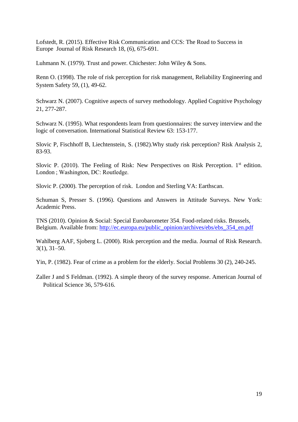Lofstedt, R. (2015). Effective Risk Communication and CCS: The Road to Success in Europe Journal of Risk Research 18, (6), 675-691.

Luhmann N. (1979). Trust and power. Chichester: John Wiley & Sons.

Renn O. (1998). The role of risk perception for risk management, Reliability Engineering and System Safety 59, (1), 49-62.

Schwarz N. (2007). Cognitive aspects of survey methodology. Applied Cognitive Psychology 21, 277-287.

Schwarz N. (1995). What respondents learn from questionnaires: the survey interview and the logic of conversation. International Statistical Review 63: 153-177.

Slovic P, Fischhoff B, Liechtenstein, S. (1982).Why study risk perception? Risk Analysis 2, 83-93.

Slovic P. (2010). The Feeling of Risk: New Perspectives on Risk Perception.  $1<sup>st</sup>$  edition. London ; Washington, DC: Routledge.

Slovic P. (2000). The perception of risk. London and Sterling VA: Earthscan.

Schuman S, Presser S. (1996). Questions and Answers in Attitude Surveys. New York: Academic Press.

TNS (2010). Opinion & Social: Special Eurobarometer 354. Food-related risks. Brussels, Belgium. Available from: [http://ec.europa.eu/public\\_opinion/archives/ebs/ebs\\_354\\_en.pdf](http://ec.europa.eu/public_opinion/archives/ebs/ebs_354_en.pdf)

Wahlberg AAF, Sjoberg L. (2000). Risk perception and the media. Journal of Risk Research. 3(1), 31–50.

Yin, P. (1982). Fear of crime as a problem for the elderly. Social Problems 30 (2), 240-245.

Zaller J and S Feldman. (1992). A simple theory of the survey response. American Journal of Political Science 36, 579-616.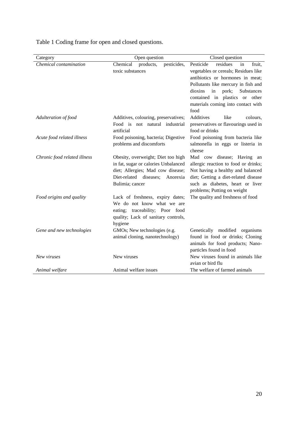| Category                     | Open question                                | Closed question                                                         |  |  |
|------------------------------|----------------------------------------------|-------------------------------------------------------------------------|--|--|
| Chemical contamination       | products,<br>Chemical<br>pesticides,         | Pesticide<br>residues<br>in<br>fruit,                                   |  |  |
|                              | toxic substances                             | vegetables or cereals; Residues like                                    |  |  |
|                              |                                              | antibiotics or hormones in meat;<br>Pollutants like mercury in fish and |  |  |
|                              |                                              |                                                                         |  |  |
|                              |                                              | dioxins<br>in<br>pork;<br>Substances                                    |  |  |
|                              |                                              | contained in plastics or other                                          |  |  |
|                              |                                              | materials coming into contact with                                      |  |  |
|                              |                                              | food                                                                    |  |  |
| Adulteration of food         | Additives, colouring, preservatives;         | Additives<br>like<br>colours,                                           |  |  |
|                              | Food is not natural industrial<br>artificial | preservatives or flavourings used in<br>food or drinks                  |  |  |
| Acute food related illness   | Food poisoning, bacteria; Digestive          | Food poisoning from bacteria like                                       |  |  |
|                              | problems and discomforts                     | salmonella in eggs or listeria in                                       |  |  |
|                              |                                              | cheese                                                                  |  |  |
| Chronic food related illness | Obesity, overweight; Diet too high           | Mad cow disease; Having an                                              |  |  |
|                              | in fat, sugar or calories Unbalanced         | allergic reaction to food or drinks;                                    |  |  |
|                              | diet; Allergies; Mad cow disease;            | Not having a healthy and balanced                                       |  |  |
|                              | Diet-related diseases;<br>Anorexia           | diet; Getting a diet-related disease                                    |  |  |
|                              | Bulimia; cancer                              | such as diabetes, heart or liver                                        |  |  |
|                              |                                              | problems; Putting on weight                                             |  |  |
| Food origins and quality     | Lack of freshness, expiry dates;             | The quality and freshness of food                                       |  |  |
|                              | We do not know what we are                   |                                                                         |  |  |
|                              | traceability; Poor food<br>eating;           |                                                                         |  |  |
|                              | quality; Lack of sanitary controls,          |                                                                         |  |  |
| Gene and new technologies    | hygiene<br>GMOs; New technologies (e.g.      | Genetically modified organisms                                          |  |  |
|                              | animal cloning, nanotechnology)              | found in food or drinks; Cloning                                        |  |  |
|                              |                                              | animals for food products; Nano-                                        |  |  |
|                              |                                              | particles found in food                                                 |  |  |
| New viruses                  | New viruses                                  | New viruses found in animals like                                       |  |  |
|                              |                                              | avian or bird flu                                                       |  |  |
| Animal welfare               | Animal welfare issues                        | The welfare of farmed animals                                           |  |  |

Table 1 Coding frame for open and closed questions.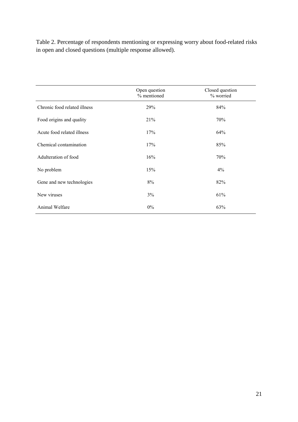Table 2. Percentage of respondents mentioning or expressing worry about food-related risks in open and closed questions (multiple response allowed).

|                              | Open question<br>% mentioned | Closed question<br>% worried |
|------------------------------|------------------------------|------------------------------|
| Chronic food related illness | 29%                          | 84%                          |
| Food origins and quality     | 21%                          | 70%                          |
| Acute food related illness   | 17%                          | 64%                          |
| Chemical contamination       | 17%                          | 85%                          |
| Adulteration of food         | 16%                          | 70%                          |
| No problem                   | 15%                          | $4\%$                        |
| Gene and new technologies    | 8%                           | 82%                          |
| New viruses                  | 3%                           | 61%                          |
| Animal Welfare               | 0%                           | 63%                          |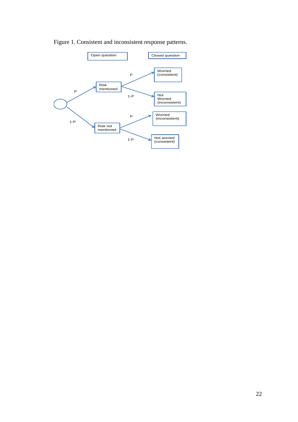

Figure 1. Consistent and inconsistent response patterns.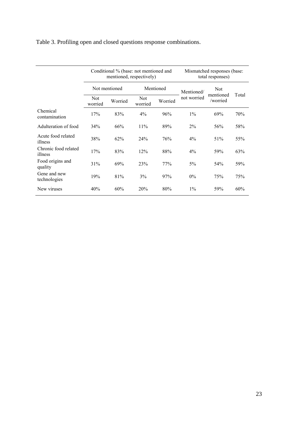|                                 | Conditional % (base: not mentioned and<br>mentioned, respectively) |         |                       |         | Mismatched responses (base:<br>total responses) |                       |       |
|---------------------------------|--------------------------------------------------------------------|---------|-----------------------|---------|-------------------------------------------------|-----------------------|-------|
|                                 | Not mentioned                                                      |         | Mentioned             |         | Mentioned/                                      | <b>Not</b>            |       |
|                                 | Not<br>worried                                                     | Worried | <b>Not</b><br>worried | Worried | not worried                                     | mentioned<br>/worried | Total |
| Chemical<br>contamination       | 17%                                                                | 83%     | 4%                    | 96%     | $1\%$                                           | 69%                   | 70%   |
| Adulteration of food            | 34%                                                                | 66%     | 11%                   | 89%     | $2\%$                                           | 56%                   | 58%   |
| Acute food related<br>illness   | 38%                                                                | 62%     | 24%                   | 76%     | $4\%$                                           | 51%                   | 55%   |
| Chronic food related<br>illness | 17%                                                                | 83%     | 12%                   | 88%     | 4%                                              | 59%                   | 63%   |
| Food origins and<br>quality     | 31%                                                                | 69%     | 23%                   | 77%     | 5%                                              | 54%                   | 59%   |
| Gene and new<br>technologies    | 19%                                                                | 81%     | 3%                    | 97%     | $0\%$                                           | 75%                   | 75%   |
| New viruses                     | 40%                                                                | 60%     | 20%                   | 80%     | $1\%$                                           | 59%                   | 60%   |

# Table 3. Profiling open and closed questions response combinations.